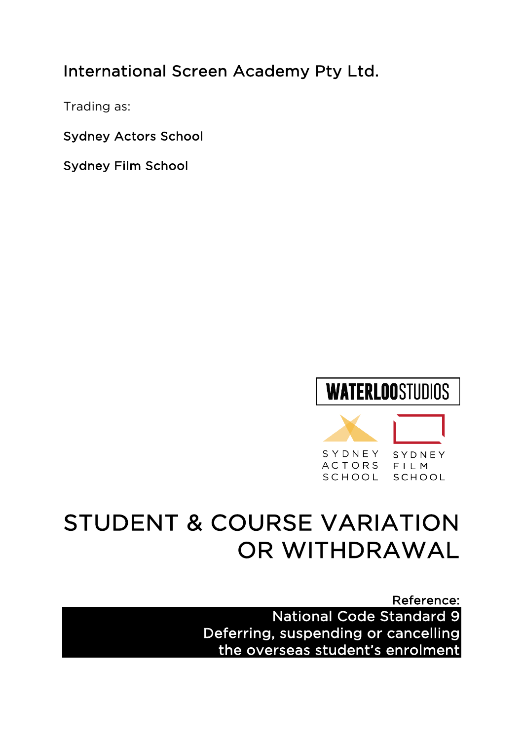# International Screen Academy Pty Ltd.

Trading as:

Sydney Actors School

Sydney Film School



# STUDENT & COURSE VARIATION OR WITHDRAWAL

Reference: National Code Standard 9 Deferring, suspending or cancelling the overseas student's enrolment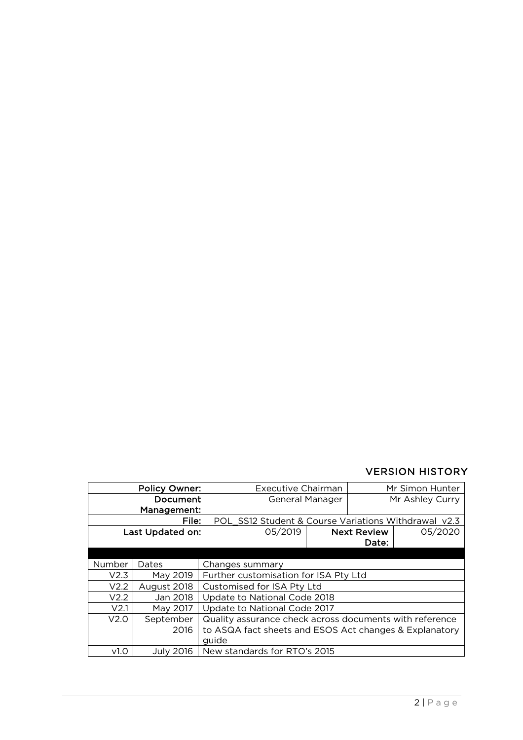### VERSION HISTORY

| <b>Policy Owner:</b> |             | <b>Executive Chairman</b>                               |  | Mr Simon Hunter    |         |  |
|----------------------|-------------|---------------------------------------------------------|--|--------------------|---------|--|
| <b>Document</b>      |             | General Manager                                         |  | Mr Ashley Curry    |         |  |
| Management:          |             |                                                         |  |                    |         |  |
| File:                |             | POL SS12 Student & Course Variations Withdrawal v2.3    |  |                    |         |  |
| Last Updated on:     |             | 05/2019                                                 |  | <b>Next Review</b> | 05/2020 |  |
|                      |             |                                                         |  | Date:              |         |  |
|                      |             |                                                         |  |                    |         |  |
| Number               | Dates       | Changes summary                                         |  |                    |         |  |
| V2.3                 | May 2019    | Further customisation for ISA Pty Ltd                   |  |                    |         |  |
| V2.2                 | August 2018 | Customised for ISA Pty Ltd                              |  |                    |         |  |
| V2.2                 | Jan 2018    | Update to National Code 2018                            |  |                    |         |  |
| V <sub>2.1</sub>     | May 2017    | Update to National Code 2017                            |  |                    |         |  |
| V2.0                 | September   | Quality assurance check across documents with reference |  |                    |         |  |
|                      | 2016        | to ASQA fact sheets and ESOS Act changes & Explanatory  |  |                    |         |  |
|                      |             | guide                                                   |  |                    |         |  |
| V <sub>1.0</sub>     | July 2016   | New standards for RTO's 2015                            |  |                    |         |  |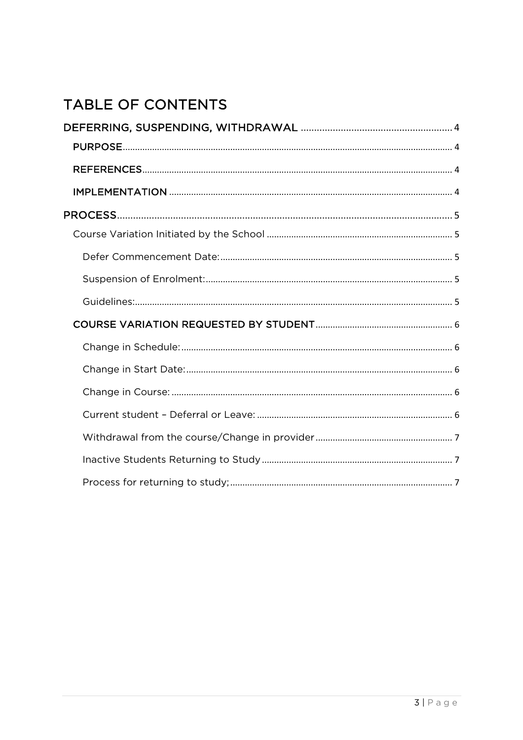# TABLE OF CONTENTS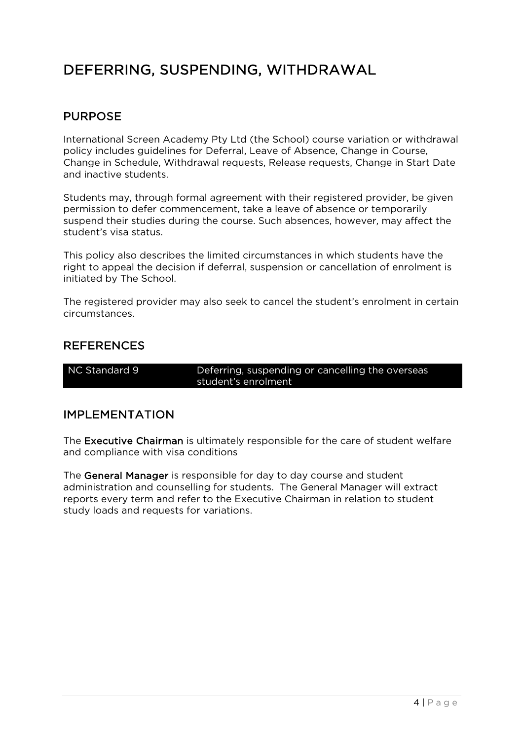# DEFERRING, SUSPENDING, WITHDRAWAL

# PURPOSE

International Screen Academy Pty Ltd (the School) course variation or withdrawal policy includes guidelines for Deferral, Leave of Absence, Change in Course, Change in Schedule, Withdrawal requests, Release requests, Change in Start Date and inactive students.

Students may, through formal agreement with their registered provider, be given permission to defer commencement, take a leave of absence or temporarily suspend their studies during the course. Such absences, however, may affect the student's visa status.

This policy also describes the limited circumstances in which students have the right to appeal the decision if deferral, suspension or cancellation of enrolment is initiated by The School.

The registered provider may also seek to cancel the student's enrolment in certain circumstances.

### REFERENCES

NC Standard 9 Deferring, suspending or cancelling the overseas student's enrolment

### IMPLEMENTATION

The Executive Chairman is ultimately responsible for the care of student welfare and compliance with visa conditions

The General Manager is responsible for day to day course and student administration and counselling for students. The General Manager will extract reports every term and refer to the Executive Chairman in relation to student study loads and requests for variations.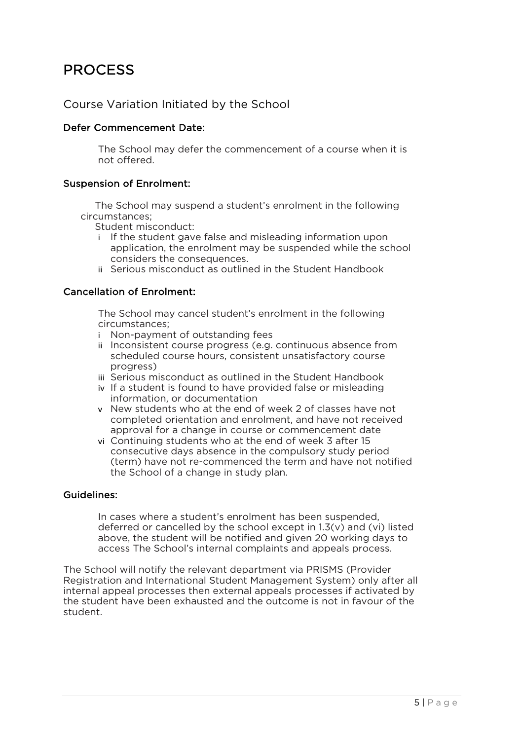# PROCESS

### Course Variation Initiated by the School

#### Defer Commencement Date:

The School may defer the commencement of a course when it is not offered.

#### Suspension of Enrolment:

The School may suspend a student's enrolment in the following circumstances;

Student misconduct:

- If the student gave false and misleading information upon application, the enrolment may be suspended while the school considers the consequences.
- ii Serious misconduct as outlined in the Student Handbook

#### Cancellation of Enrolment:

The School may cancel student's enrolment in the following circumstances;

- i Non-payment of outstanding fees
- ii Inconsistent course progress (e.g. continuous absence from scheduled course hours, consistent unsatisfactory course progress)
- iii Serious misconduct as outlined in the Student Handbook
- iv If a student is found to have provided false or misleading information, or documentation
- v New students who at the end of week 2 of classes have not completed orientation and enrolment, and have not received approval for a change in course or commencement date
- vi Continuing students who at the end of week 3 after 15 consecutive days absence in the compulsory study period (term) have not re-commenced the term and have not notified the School of a change in study plan.

#### Guidelines:

In cases where a student's enrolment has been suspended, deferred or cancelled by the school except in 1.3(v) and (vi) listed above, the student will be notified and given 20 working days to access The School's internal complaints and appeals process.

The School will notify the relevant department via PRISMS (Provider Registration and International Student Management System) only after all internal appeal processes then external appeals processes if activated by the student have been exhausted and the outcome is not in favour of the student.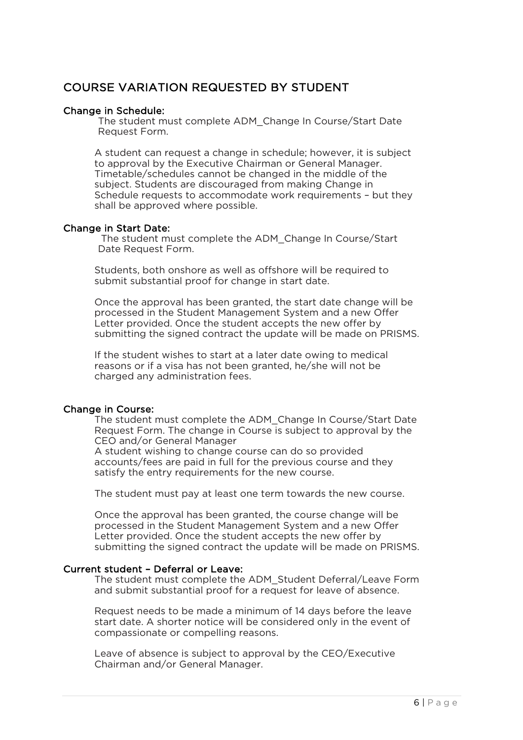# COURSE VARIATION REQUESTED BY STUDENT

#### Change in Schedule:

The student must complete ADM\_Change In Course/Start Date Request Form.

A student can request a change in schedule; however, it is subject to approval by the Executive Chairman or General Manager. Timetable/schedules cannot be changed in the middle of the subject. Students are discouraged from making Change in Schedule requests to accommodate work requirements – but they shall be approved where possible.

#### Change in Start Date:

The student must complete the ADM\_Change In Course/Start Date Request Form.

Students, both onshore as well as offshore will be required to submit substantial proof for change in start date.

Once the approval has been granted, the start date change will be processed in the Student Management System and a new Offer Letter provided. Once the student accepts the new offer by submitting the signed contract the update will be made on PRISMS.

If the student wishes to start at a later date owing to medical reasons or if a visa has not been granted, he/she will not be charged any administration fees.

#### Change in Course:

The student must complete the ADM\_Change In Course/Start Date Request Form. The change in Course is subject to approval by the CEO and/or General Manager A student wishing to change course can do so provided

accounts/fees are paid in full for the previous course and they satisfy the entry requirements for the new course.

The student must pay at least one term towards the new course.

Once the approval has been granted, the course change will be processed in the Student Management System and a new Offer Letter provided. Once the student accepts the new offer by submitting the signed contract the update will be made on PRISMS.

#### Current student – Deferral or Leave:

The student must complete the ADM\_Student Deferral/Leave Form and submit substantial proof for a request for leave of absence.

Request needs to be made a minimum of 14 days before the leave start date. A shorter notice will be considered only in the event of compassionate or compelling reasons.

Leave of absence is subject to approval by the CEO/Executive Chairman and/or General Manager.